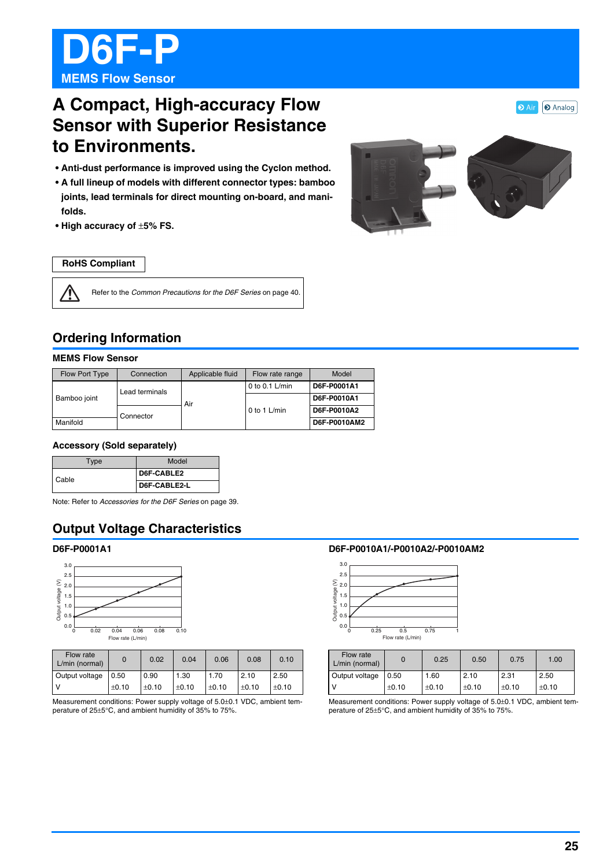

# **A Compact, High-accuracy Flow Sensor with Superior Resistance to Environments.**

- **Anti-dust performance is improved using the Cyclon method.**
- **A full lineup of models with different connector types: bamboo joints, lead terminals for direct mounting on-board, and manifolds.**
- **High accuracy of** ±**5% FS.**



#### **RoHS Compliant**

 $\bigwedge$ 

Refer to the Common Precautions for the D6F Series on page 40.

## **Ordering Information**

#### **MEMS Flow Sensor**

| Flow Port Type | Connection     | Applicable fluid | Flow rate range  | Model        |
|----------------|----------------|------------------|------------------|--------------|
| Bamboo joint   | Lead terminals |                  | 0 to 0.1 $L/min$ | D6F-P0001A1  |
|                |                | Air              | 0 to 1 L/min     | D6F-P0010A1  |
|                | Connector      |                  |                  | D6F-P0010A2  |
| Manifold       |                |                  |                  | D6F-P0010AM2 |

#### **Accessory (Sold separately)**

| Type  | Model        |  |
|-------|--------------|--|
| Cable | D6F-CABLE2   |  |
|       | D6F-CABLE2-L |  |

Note: Refer to Accessories for the D6F Series on page 39.

## **Output Voltage Characteristics**

#### **D6F-P0001A1**



| Flow rate<br>L/min (normal) |         | 0.02    | 0.04    | 0.06    | 0.08    | 0.10    |
|-----------------------------|---------|---------|---------|---------|---------|---------|
| Output voltage              | 0.50    | 0.90    | 1.30    | 1.70    | 2.10    | 2.50    |
|                             | $+0.10$ | $+0.10$ | $+0.10$ | $+0.10$ | $+0.10$ | $+0.10$ |

Measurement conditions: Power supply voltage of 5.0±0.1 VDC, ambient temperature of 25±5°C, and ambient humidity of 35% to 75%.

#### **D6F-P0010A1/-P0010A2/-P0010AM2**



| Flow rate<br>L/min (normal) |       | 0.25  | 0.50  | 0.75  | 1.00  |
|-----------------------------|-------|-------|-------|-------|-------|
| Output voltage              | 0.50  | 1.60  | 2.10  | 2.31  | 2.50  |
|                             | ±0.10 | ±0.10 | ±0.10 | ±0.10 | ±0.10 |

Measurement conditions: Power supply voltage of 5.0±0.1 VDC, ambient temperature of 25±5°C, and ambient humidity of 35% to 75%.

**D** Air | **D** Analog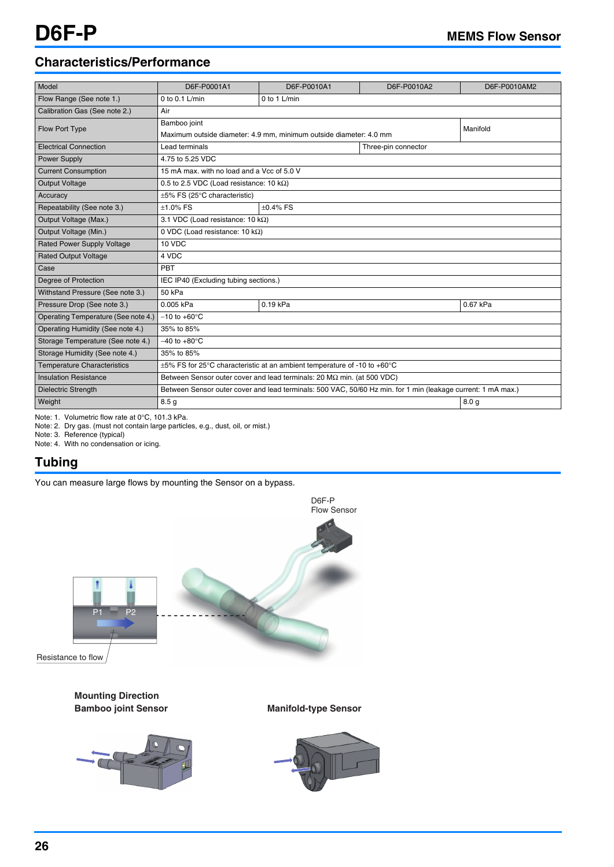## **Characteristics/Performance**

| Model                               | D6F-P0001A1                                                                                                  | D6F-P0010A1    | D6F-P0010A2 | D6F-P0010AM2     |  |
|-------------------------------------|--------------------------------------------------------------------------------------------------------------|----------------|-------------|------------------|--|
| Flow Range (See note 1.)            | 0 to 0.1 $L/min$                                                                                             | 0 to 1 $L/min$ |             |                  |  |
| Calibration Gas (See note 2.)       | Air                                                                                                          |                |             |                  |  |
| Flow Port Type                      | Bamboo joint                                                                                                 | Manifold       |             |                  |  |
|                                     | Maximum outside diameter: 4.9 mm. minimum outside diameter: 4.0 mm                                           |                |             |                  |  |
| <b>Electrical Connection</b>        | Lead terminals<br>Three-pin connector                                                                        |                |             |                  |  |
| <b>Power Supply</b>                 | 4.75 to 5.25 VDC                                                                                             |                |             |                  |  |
| <b>Current Consumption</b>          | 15 mA max, with no load and a Vcc of 5.0 V                                                                   |                |             |                  |  |
| <b>Output Voltage</b>               | 0.5 to 2.5 VDC (Load resistance: 10 k $\Omega$ )                                                             |                |             |                  |  |
| Accuracy                            | $\pm 5\%$ FS (25 $\degree$ C characteristic)                                                                 |                |             |                  |  |
| Repeatability (See note 3.)         | $+1.0\%$ FS<br>$+0.4\%$ FS                                                                                   |                |             |                  |  |
| Output Voltage (Max.)               | 3.1 VDC (Load resistance: 10 k $\Omega$ )                                                                    |                |             |                  |  |
| Output Voltage (Min.)               | 0 VDC (Load resistance: 10 k $\Omega$ )                                                                      |                |             |                  |  |
| Rated Power Supply Voltage          | 10 VDC                                                                                                       |                |             |                  |  |
| <b>Rated Output Voltage</b>         | 4 VDC                                                                                                        |                |             |                  |  |
| Case                                | PBT                                                                                                          |                |             |                  |  |
| Degree of Protection                | IEC IP40 (Excluding tubing sections.)                                                                        |                |             |                  |  |
| Withstand Pressure (See note 3.)    | 50 kPa                                                                                                       |                |             |                  |  |
| Pressure Drop (See note 3.)         | 0.005 kPa                                                                                                    | 0.19 kPa       |             | 0.67 kPa         |  |
| Operating Temperature (See note 4.) | $-10$ to $+60^{\circ}$ C                                                                                     |                |             |                  |  |
| Operating Humidity (See note 4.)    | 35% to 85%                                                                                                   |                |             |                  |  |
| Storage Temperature (See note 4.)   | $-40$ to $+80^{\circ}$ C                                                                                     |                |             |                  |  |
| Storage Humidity (See note 4.)      | 35% to 85%                                                                                                   |                |             |                  |  |
| <b>Temperature Characteristics</b>  | $\pm 5\%$ FS for 25°C characteristic at an ambient temperature of -10 to +60°C                               |                |             |                  |  |
| <b>Insulation Resistance</b>        | Between Sensor outer cover and lead terminals: $20 M\Omega$ min. (at 500 VDC)                                |                |             |                  |  |
| <b>Dielectric Strength</b>          | Between Sensor outer cover and lead terminals: 500 VAC, 50/60 Hz min. for 1 min (leakage current: 1 mA max.) |                |             |                  |  |
| Weight                              | 8.5 <sub>q</sub>                                                                                             |                |             | 8.0 <sub>q</sub> |  |

Note: 1. Volumetric flow rate at 0°C, 101.3 kPa.

Note: 2. Dry gas. (must not contain large particles, e.g., dust, oil, or mist.)

Note: 3. Reference (typical)

Note: 4. With no condensation or icing.

## **Tubing**

You can measure large flows by mounting the Sensor on a bypass.